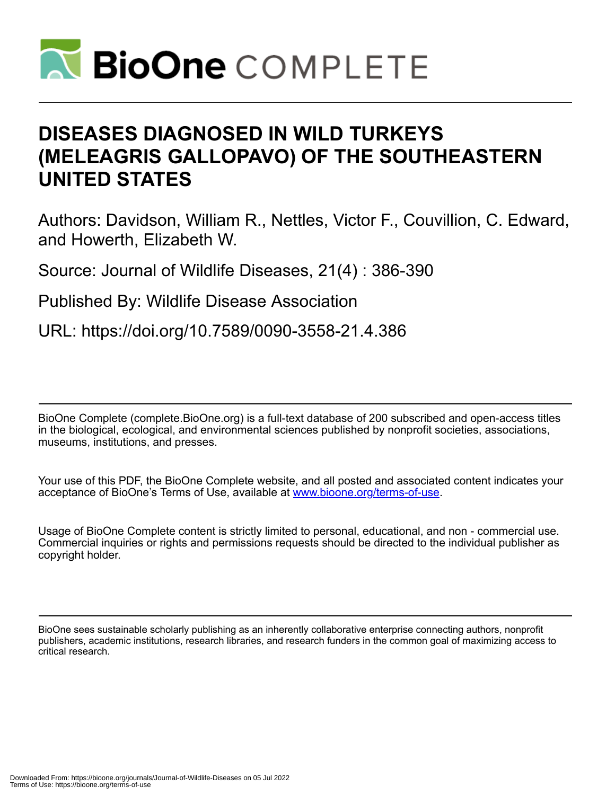

# **DISEASES DIAGNOSED IN WILD TURKEYS (MELEAGRIS GALLOPAVO) OF THE SOUTHEASTERN UNITED STATES**

Authors: Davidson, William R., Nettles, Victor F., Couvillion, C. Edward, and Howerth, Elizabeth W.

Source: Journal of Wildlife Diseases, 21(4) : 386-390

Published By: Wildlife Disease Association

URL: https://doi.org/10.7589/0090-3558-21.4.386

BioOne Complete (complete.BioOne.org) is a full-text database of 200 subscribed and open-access titles in the biological, ecological, and environmental sciences published by nonprofit societies, associations, museums, institutions, and presses.

Your use of this PDF, the BioOne Complete website, and all posted and associated content indicates your acceptance of BioOne's Terms of Use, available at www.bioone.org/terms-of-use.

Usage of BioOne Complete content is strictly limited to personal, educational, and non - commercial use. Commercial inquiries or rights and permissions requests should be directed to the individual publisher as copyright holder.

BioOne sees sustainable scholarly publishing as an inherently collaborative enterprise connecting authors, nonprofit publishers, academic institutions, research libraries, and research funders in the common goal of maximizing access to critical research.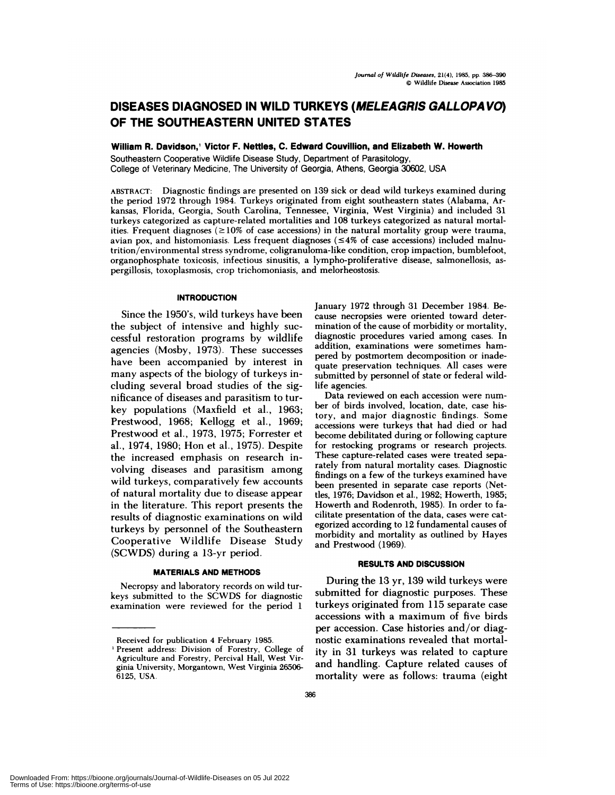# **DISEASES DIAGNOSED IN WILD TURKEYS (MELEAGRIS GALLOPAVO) OF THE SOUTHEASTERN UNITED STATES**

**William R. Davidson, Victor F. Nettles, C. Edward Couvillion, and Elizabeth W. Howerth**

Southeastern Cooperative Wildlife Disease Study, Department of Parasitology, College of Veterinary Medicine, The University of Georgia, Athens, Georgia 30602, USA

**ABSTRACT:** Diagnostic findings are presented on 139 sick or dead wild turkeys examined during the period 1972 through 1984. Turkeys originated from eight southeastern states (Alabama, Arkansas, Florida, Georgia, South Carolina, Tennessee, Virginia, West Virginia) and included 31 turkeys categorized as capture-related mortalities and 108 turkeys categorized as natural mortalities. Frequent diagnoses  $( \geq 10\%$  of case accessions) in the natural mortality group were trauma, avian pox, and histomoniasis. Less frequent diagnoses ( $\leq$ 4% of case accessions) included malnutrition/environmental stress syndrome, coligranuloma-like condition, crop impaction, bumblefoot, organophosphate toxicosis, infectious sinusitis, a lympho-proliferative disease, salmonellosis, as pergillosis, toxoplasmosis, crop trichomoniasis, and melorheostosis.

# **INTRODUCTION**

Since the 1950's, wild turkeys have been the subject of intensive and highly suc cessful restoration programs by wildlife agencies (Mosby, 1973). These successes have been accompanied by interest in many aspects of the biology of turkeys including several broad studies of the significance of diseases and parasitism to turkey populations (Maxfield et al., 1963; Prestwood, 1968; Kellogg et al., 1969; Prestwood et a!., 1973, 1975; Forrester et a!., 1974, 1980; Hon et a!., 1975). Despite the increased emphasis on research involving diseases and parasitism among wild turkeys, comparatively few accounts of natural mortality due to disease appear in the literature. This report presents the results of diagnostic examinations on wild turkeys by personnel of the Southeastern Cooperative Wildlife Disease Study (SCWDS) during a 13-yr period.

#### **MATERIALS AND METHODS**

Necropsy and laboratory records on wild tur keys submitted to the SCWDS for diagnostic examination were reviewed for the period 1

January 1972 through 31 December 1984. Be cause necropsies were oriented toward determination of the cause of morbidity or mortality, diagnostic procedures varied among cases. In addition, examinations were sometimes hampered by postmortem decomposition or inadequate preservation techniques. All cases were submitted by personnel of state or federal wildlife agencies.

Data reviewed on each accession were num ber of birds involved, location, date, case history, and major diagnostic findings. Some accessions were turkeys that had died or had become debilitated during or following capture for restocking programs or research projects. These capture-related cases were treated separately from natural mortality cases. Diagnostic findings on a few of the turkeys examined have been presented in separate case reports (Nettles, 1976; Davidson et a!., 1982; Howerth, 1985; Howerth and Rodenroth, 1985). In order to facilitate presentation of the data, cases were categorized according to 12 fundamental causes of morbidity and mortality as outlined by Hayes and Prestwood (1969).

## **RESULTS AND DISCUSSION**

During the 13 yr, 139 wild turkeys were submitted for diagnostic purposes. These turkeys originated from 115 separate case accessions with a maximum of five birds per accession. Case histories and/or diagnostic examinations revealed that mortality in 31 turkeys was related to capture and handling. Capture related causes of mortality were as follows: trauma (eight

Received for publication 4 February 1985.

**<sup>1</sup>** Present address: Division of Forestry, College of Agriculture and Forestry, Percival Hall, West Virginia University, Morgantown, West Virginia 26506- 6125, USA.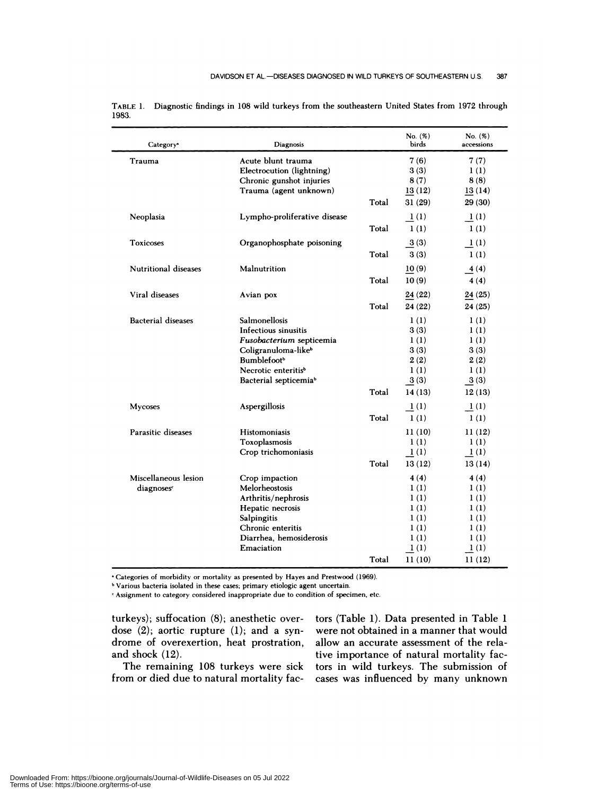| Category <sup>®</sup>     | Diagnosis                         |       | No. (%)<br>birds | No. (%)<br>accessions |
|---------------------------|-----------------------------------|-------|------------------|-----------------------|
| Trauma                    | Acute blunt trauma                |       | 7(6)             | 7(7)                  |
|                           | Electrocution (lightning)         |       | 3(3)             | 1(1)                  |
|                           | Chronic gunshot injuries          |       | 8(7)             | 8(8)                  |
|                           | Trauma (agent unknown)            |       | 13(12)           | 13(14)                |
|                           |                                   | Total | 31(29)           | 29 (30)               |
| Neoplasia                 | Lympho-proliferative disease      |       | 1(1)             | 1(1)                  |
|                           |                                   | Total | 1(1)             | 1(1)                  |
| <b>Toxicoses</b>          | Organophosphate poisoning         |       | 3(3)             | $\mathbf{1}$ (1)      |
|                           |                                   | Total | 3(3)             | 1(1)                  |
| Nutritional diseases      | Malnutrition                      |       | 10(9)            | 4(4)                  |
|                           |                                   | Total | 10(9)            | 4(4)                  |
| Viral diseases            | Avian pox                         |       | 24 (22)          | 24(25)                |
|                           |                                   | Total | 24 (22)          | 24 (25)               |
| <b>Bacterial diseases</b> | Salmonellosis                     |       | 1(1)             | 1(1)                  |
|                           | Infectious sinusitis              |       | 3(3)             | 1(1)                  |
|                           | Fusobacterium septicemia          |       | 1(1)             | 1(1)                  |
|                           | Coligranuloma-like <sup>b</sup>   |       | 3(3)             | 3(3)                  |
|                           | <b>Bumblefoot</b> <sup>b</sup>    |       | 2(2)             | 2(2)                  |
|                           | Necrotic enteritis <sup>b</sup>   |       | 1(1)             | 1(1)                  |
|                           | Bacterial septicemia <sup>b</sup> |       | 3(3)             | 3(3)                  |
|                           |                                   | Total | 14(13)           | 12(13)                |
| Mycoses                   | Aspergillosis                     |       | $\mathbf{1}$ (1) | $\perp(1)$            |
|                           |                                   | Total | 1(1)             | 1(1)                  |
| Parasitic diseases        | Histomoniasis                     |       | 11(10)           | 11(12)                |
|                           | Toxoplasmosis                     |       | 1(1)             | 1(1)                  |
|                           | Crop trichomoniasis               |       | 1(1)             | 1(1)                  |
|                           |                                   | Total | 13(12)           | 13(14)                |
| Miscellaneous lesion      | Crop impaction                    |       | 4(4)             | 4(4)                  |
| diagnoses <sup>c</sup>    | Melorheostosis                    |       | 1(1)             | 1(1)                  |
|                           | Arthritis/nephrosis               |       | 1(1)             | 1(1)                  |
|                           | Hepatic necrosis                  |       | 1(1)             | 1(1)                  |
|                           | Salpingitis                       |       | 1(1)             | 1(1)                  |
|                           | Chronic enteritis                 |       | 1(1)             | 1(1)                  |
|                           | Diarrhea. hemosiderosis           |       | 1(1)             | 1(1)                  |
|                           | Emaciation                        |       | 1(1)             | 1(1)                  |
|                           |                                   | Total | 11(10)           | 11(12)                |

**TABLE** 1.Diagnostic findings in 108 wild turkeys from the southeastern United States from 1972 through 1983.

**Categories of morbidity or mortality as** presented by Hayes and Prestwood (1969).

Various bacteria isolated in these cases; primary etiologic agent uncertain.

Assignment to category considered inappropriate due to condition of specimen, etc.

turkeys); suffocation (8); anesthetic over dose (2); aortic rupture (1); and a syndrome of overexertion, heat prostration, and shock (12).

The remaining 108 turkeys were sick from or died due to natural mortality factors (Table 1). Data presented in Table 1 were not obtained in a manner that would allow an accurate assessment of the relative importance of natural mortality factors in wild turkeys. The submission of cases was influenced by many unknown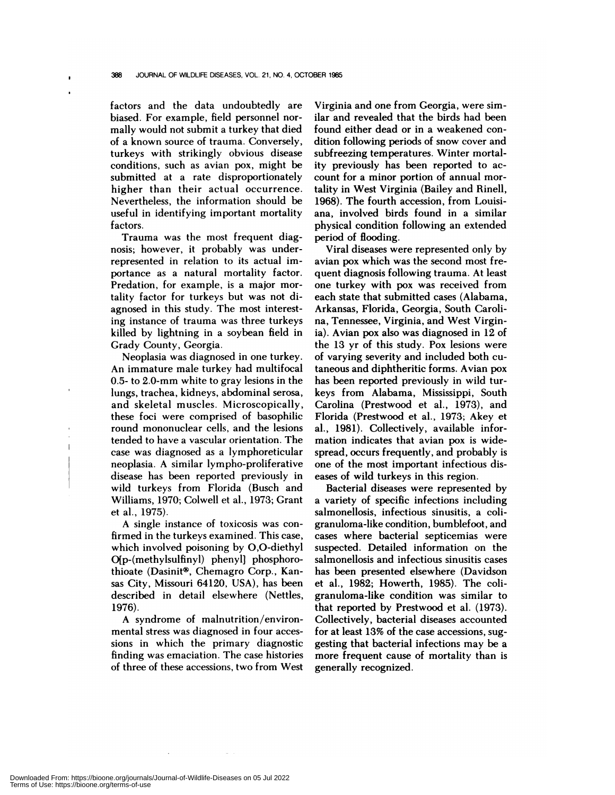factors and the data undoubtedly are biased. For example, field personnel nor mally would not submit a turkey that died of a known source of trauma. Conversely, turkeys with strikingly obvious disease conditions, such as avian pox, might be submitted at a rate disproportionately higher than their actual occurrence. Nevertheless, the information should be useful in identifying important mortality factors.

Trauma was the most frequent diagnosis; however, it probably was underrepresented in relation to its actual importance as a natural mortality factor. Predation, for example, is a major mortality factor for turkeys but was not diagnosed in this study. The most interesting instance of trauma was three turkeys killed by lightning in a soybean field in Grady County, Georgia.

Neoplasia was diagnosed in one turkey. An immature male turkey had multifocal 0.5- to 2.0-mm white to gray lesions in the lungs, trachea, kidneys, abdominal serosa, and skeletal muscles. Microscopically, these foci were comprised of basophilic round mononuclear cells, and the lesions tended to have a vascular orientation. The case was diagnosed as a lymphoreticular neoplasia. A similar lympho-proliferative disease has been reported previously in wild turkeys from Florida (Busch and Williams, 1970; Colwell et al., 1973; Grant et a!., 1975).

 $\mathbf{I}$ 

A single instance of toxicosis was confirmed in the turkeys examined. This case, which involved poisoning by 0,0-diethyl O[p-(methy!su!finyl) phenyl] phosphorothioate (Dasinit®, Chemagro Corp., Kansas City, Missouri 64120, USA), has been described in detail elsewhere (Nettles, 1976).

A syndrome of malnutrition/environmental stress was diagnosed in four acces sions in which the primary diagnostic finding was emaciation. The case histories of three of these accessions, two from West Virginia and one from Georgia, were similar and revealed that the birds had been found either dead or in a weakened con dition following periods of snow cover and subfreezing temperatures. Winter mortality previously has been reported to ac count for a minor portion of annual mortality in West Virginia (Bailey and Rinell, 1968). The fourth accession, from Louisiana, involved birds found in a similar physical condition following an extended period of flooding.

Viral diseases were represented only by avian pox which was the second most frequent diagnosis following trauma. At least one turkey with pox was received from each state that submitted cases (Alabama, Arkansas, Florida, Georgia, South Carolina, Tennessee, Virginia, and West Virginia). Avian pox also was diagnosed in 12 of the 13 yr of this study. Pox lesions were of varying severity and included both cutaneous and diphtheritic forms. Avian pox has been reported previously in wild turkeys from Alabama, Mississippi, South Carolina (Prestwood et al., 1973), and Florida (Prestwood et a!., 1973; Akey et a!., 1981). Collectively, available information indicates that avian pox is widespread, occurs frequently, and probably is one of the most important infectious dis eases of wild turkeys in this region.

Bacterial diseases were represented by a variety of specific infections including salmonellosis, infectious sinusitis, a coligranuloma-like condition, bumblefoot, and cases where bacterial septicemias were suspected. Detailed information on the salmonellosis and infectious sinusitis cases has been presented elsewhere (Davidson et a!., 1982; Howerth, 1985). The coligranuloma-like condition was similar to that reported by Prestwood et al. (1973). Collectively, bacterial diseases accounted for at least 13% of the case accessions, suggesting that bacterial infections may be a more frequent cause of mortality than is generally recognized.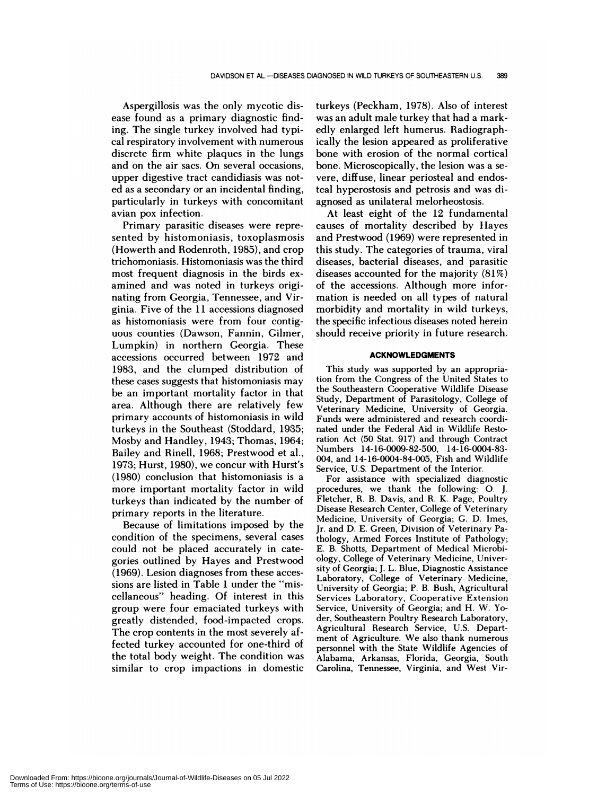Aspergillosis was the only mycotic dis ease found as a primary diagnostic finding. The single turkey involved had typical respiratory involvement with numerous discrete firm white plaques in the lungs and on the air sacs. On several occasions, upper digestive tract candidiasis was noted as a secondary or an incidental finding, particularly in turkeys with concomitant avian pox infection.

Primary parasitic diseases were represented by histomoniasis, toxoplasmosis (Howerth and Rodenroth, 1985), and crop trichomoniasis. Histomoniasis was the third most frequent diagnosis in the birds ex amined and was noted in turkeys originating from Georgia, Tennessee, and Virginia. Five of the 11 accessions diagnosed as histomoniasis were from four contiguous counties (Dawson, Fannin, Gilmer, Lumpkin) in northern Georgia. These accessions occurred between 1972 and 1983, and the clumped distribution of these cases suggests that histomoniasis may be an important mortality factor in that area. Although there are relatively few primary accounts of histomoniasis in wild turkeys in the Southeast (Stoddard, 1935; Mosby and Handley, 1943; Thomas, 1964; Bailey and Rinell, 1968; Prestwood et al., 1973; Hurst, 1980), we concur with Hurst's (1980) conclusion that histomoniasis is a more important mortality factor in wild turkeys than indicated by the number of primary reports in the literature.

Because of limitations imposed by the condition of the specimens, several cases could not be placed accurately in categories outlined by Hayes and Prestwood (1969). Lesion diagnoses from these acces sions are listed in Table 1 under the "miscellaneous" heading. Of interest in this group were four emaciated turkeys with greatly distended, food-impacted crops. The crop contents in the most severely affected turkey accounted for one-third of the total body weight. The condition was similar to crop impactions in domestic turkeys (Peckham, 1978). Also of interest was an adult male turkey that had a markedly enlarged left humerus. Radiographically the lesion appeared as proliferative bone with erosion of the normal cortical bone. Microscopically, the lesion was a se vere, diffuse, linear periosteal and endosteal hyperostosis and petrosis and was diagnosed as unilateral melorheostosis.

At least eight of the 12 fundamental causes of mortality described by Hayes and Prestwood (1969) were represented in this study. The categories of trauma, viral diseases, bacterial diseases, and parasitic diseases accounted for the majority (81%) of the accessions. Although more information is needed on all types of natural morbidity and mortality in wild turkeys, the specific infectious diseases noted herein should receive priority in future research.

### **ACKNOWLEDGMENTS**

This study was supported by an appropriation from the Congress of the United States to the Southeastern Cooperative Wildlife Disease Study, Department of Parasitology, College of Veterinary Medicine, University of Georgia. Funds were administered and research coordinated under the Federal Aid in Wildlife Restoration Act (50 Stat. 917) and through Contract Numbers 14-16-0009-82-500, 14-16-0004-83- 004, and 14-16-0004-84-005, Fish and Wildlife Service, U.S. Department of the Interior.

For assistance with specialized diagnostic procedures, we thank the following: O. J. Fletcher, R. B. Davis, and R. K. Page, Poultry Disease Research Center, College of Veterinary Medicine, University of Georgia; G. D. Imes, Jr. and D. E. Green, Division of Veterinary Pathology, Armed Forces Institute of Pathology; E. B. Shotts, Department of Medical Microbiology, College of Veterinary Medicine, University of Georgia; J. L. Blue, Diagnostic Assistance Laboratory, College of Veterinary Medicine, University of Georgia; P. B. Bush, Agricultural Services Laboratory, Cooperative Extension Service, University of Georgia; and H. W. Yoder, Southeastern Poultry Research Laboratory, Agricultural Research Service, U.S. Depart ment of Agriculture. We also thank numerous personnel with the State Wildlife Agencies of Alabama, Arkansas, Florida, Georgia, South Carolina, Tennessee, Virginia, and West Vir